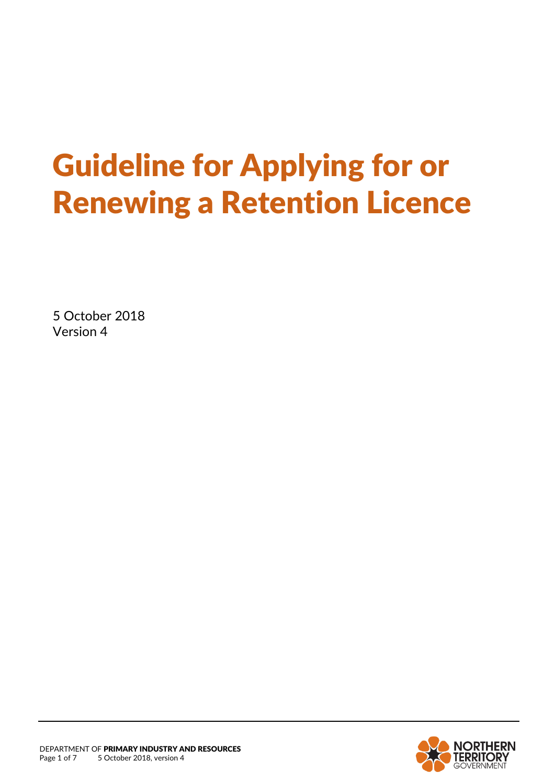# Guideline for Applying for or Renewing a Retention Licence

5 October 2018 Version 4

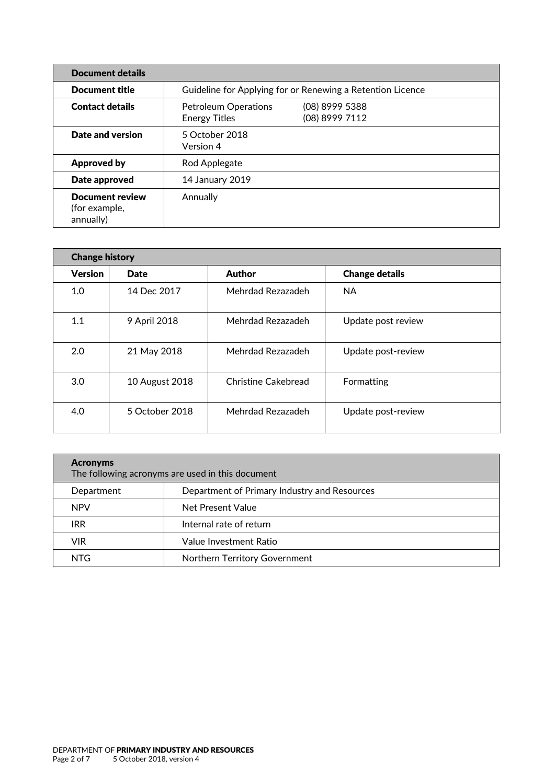| <b>Document details</b>                              |                                                            |                                  |  |  |
|------------------------------------------------------|------------------------------------------------------------|----------------------------------|--|--|
| <b>Document title</b>                                | Guideline for Applying for or Renewing a Retention Licence |                                  |  |  |
| <b>Contact details</b>                               | <b>Petroleum Operations</b><br><b>Energy Titles</b>        | (08) 8999 5388<br>(08) 8999 7112 |  |  |
| Date and version                                     | 5 October 2018<br>Version 4                                |                                  |  |  |
| <b>Approved by</b>                                   | Rod Applegate                                              |                                  |  |  |
| Date approved                                        | 14 January 2019                                            |                                  |  |  |
| <b>Document review</b><br>(for example,<br>annually) | Annually                                                   |                                  |  |  |

| <b>Change history</b> |                |                     |                       |  |  |
|-----------------------|----------------|---------------------|-----------------------|--|--|
| <b>Version</b>        | <b>Date</b>    | <b>Author</b>       | <b>Change details</b> |  |  |
| 1.0                   | 14 Dec 2017    | Mehrdad Rezazadeh   | <b>NA</b>             |  |  |
| 1.1                   | 9 April 2018   | Mehrdad Rezazadeh   | Update post review    |  |  |
| 2.0                   | 21 May 2018    | Mehrdad Rezazadeh   | Update post-review    |  |  |
| 3.0                   | 10 August 2018 | Christine Cakebread | Formatting            |  |  |
| 4.0                   | 5 October 2018 | Mehrdad Rezazadeh   | Update post-review    |  |  |

| <b>Acronyms</b><br>The following acronyms are used in this document |                                              |  |  |  |
|---------------------------------------------------------------------|----------------------------------------------|--|--|--|
| Department                                                          | Department of Primary Industry and Resources |  |  |  |
| <b>NPV</b>                                                          | Net Present Value                            |  |  |  |
| <b>IRR</b>                                                          | Internal rate of return                      |  |  |  |
| <b>VIR</b>                                                          | Value Investment Ratio                       |  |  |  |
| NTG                                                                 | Northern Territory Government                |  |  |  |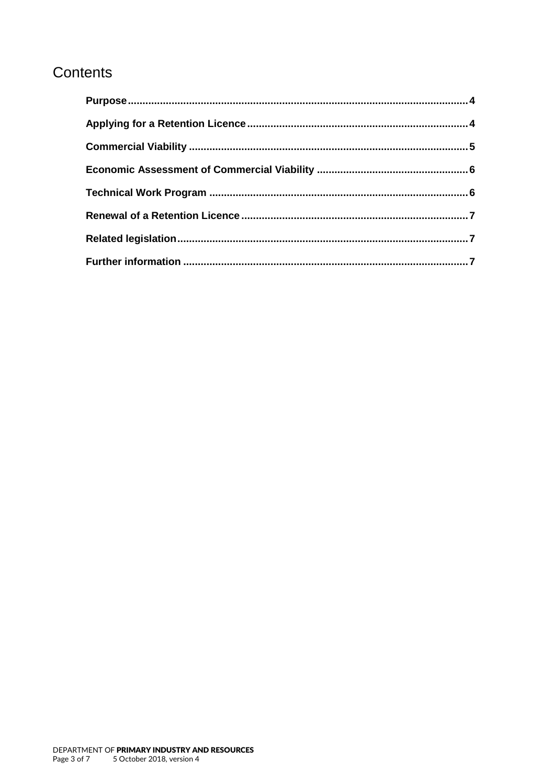### Contents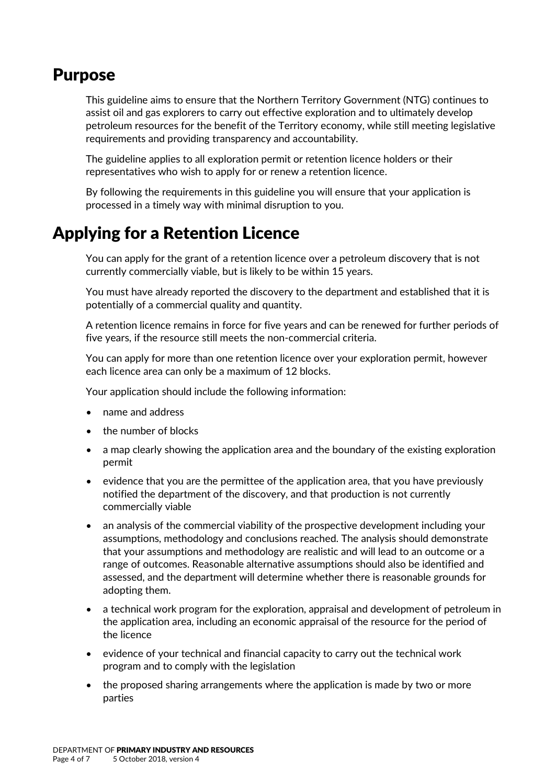#### <span id="page-3-0"></span>Purpose

This guideline aims to ensure that the Northern Territory Government (NTG) continues to assist oil and gas explorers to carry out effective exploration and to ultimately develop petroleum resources for the benefit of the Territory economy, while still meeting legislative requirements and providing transparency and accountability.

The guideline applies to all exploration permit or retention licence holders or their representatives who wish to apply for or renew a retention licence.

By following the requirements in this guideline you will ensure that your application is processed in a timely way with minimal disruption to you.

# <span id="page-3-1"></span>Applying for a Retention Licence

You can apply for the grant of a retention licence over a petroleum discovery that is not currently commercially viable, but is likely to be within 15 years.

You must have already reported the discovery to the department and established that it is potentially of a commercial quality and quantity.

A retention licence remains in force for five years and can be renewed for further periods of five years, if the resource still meets the non-commercial criteria.

You can apply for more than one retention licence over your exploration permit, however each licence area can only be a maximum of 12 blocks.

Your application should include the following information:

- name and address
- the number of blocks
- a map clearly showing the application area and the boundary of the existing exploration permit
- evidence that you are the permittee of the application area, that you have previously notified the department of the discovery, and that production is not currently commercially viable
- an analysis of the commercial viability of the prospective development including your assumptions, methodology and conclusions reached. The analysis should demonstrate that your assumptions and methodology are realistic and will lead to an outcome or a range of outcomes. Reasonable alternative assumptions should also be identified and assessed, and the department will determine whether there is reasonable grounds for adopting them.
- a technical work program for the exploration, appraisal and development of petroleum in the application area, including an economic appraisal of the resource for the period of the licence
- evidence of your technical and financial capacity to carry out the technical work program and to comply with the legislation
- the proposed sharing arrangements where the application is made by two or more parties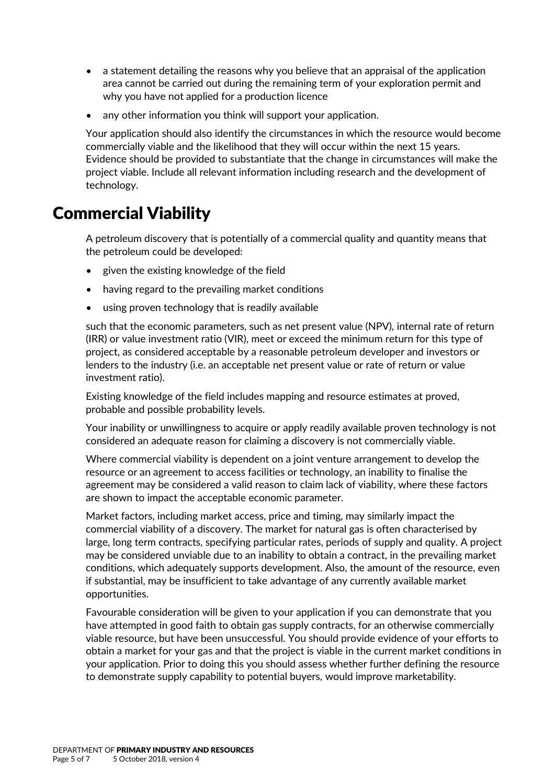- a statement detailing the reasons why you believe that an appraisal of the application area cannot be carried out during the remaining term of your exploration permit and why you have not applied for a production licence
- any other information you think will support your application.

Your application should also identify the circumstances in which the resource would become commercially viable and the likelihood that they will occur within the next 15 years. Evidence should be provided to substantiate that the change in circumstances will make the project viable. Include all relevant information including research and the development of technology.

## <span id="page-4-0"></span>Commercial Viability

A petroleum discovery that is potentially of a commercial quality and quantity means that the petroleum could be developed:

- given the existing knowledge of the field
- having regard to the prevailing market conditions
- using proven technology that is readily available

such that the economic parameters, such as net present value (NPV), internal rate of return (IRR) or value investment ratio (VIR), meet or exceed the minimum return for this type of project, as considered acceptable by a reasonable petroleum developer and investors or lenders to the industry (i.e. an acceptable net present value or rate of return or value investment ratio).

Existing knowledge of the field includes mapping and resource estimates at proved, probable and possible probability levels.

Your inability or unwillingness to acquire or apply readily available proven technology is not considered an adequate reason for claiming a discovery is not commercially viable.

Where commercial viability is dependent on a joint venture arrangement to develop the resource or an agreement to access facilities or technology, an inability to finalise the agreement may be considered a valid reason to claim lack of viability, where these factors are shown to impact the acceptable economic parameter.

Market factors, including market access, price and timing, may similarly impact the commercial viability of a discovery. The market for natural gas is often characterised by large, long term contracts, specifying particular rates, periods of supply and quality. A project may be considered unviable due to an inability to obtain a contract, in the prevailing market conditions, which adequately supports development. Also, the amount of the resource, even if substantial, may be insufficient to take advantage of any currently available market opportunities.

Favourable consideration will be given to your application if you can demonstrate that you have attempted in good faith to obtain gas supply contracts, for an otherwise commercially viable resource, but have been unsuccessful. You should provide evidence of your efforts to obtain a market for your gas and that the project is viable in the current market conditions in your application. Prior to doing this you should assess whether further defining the resource to demonstrate supply capability to potential buyers, would improve marketability.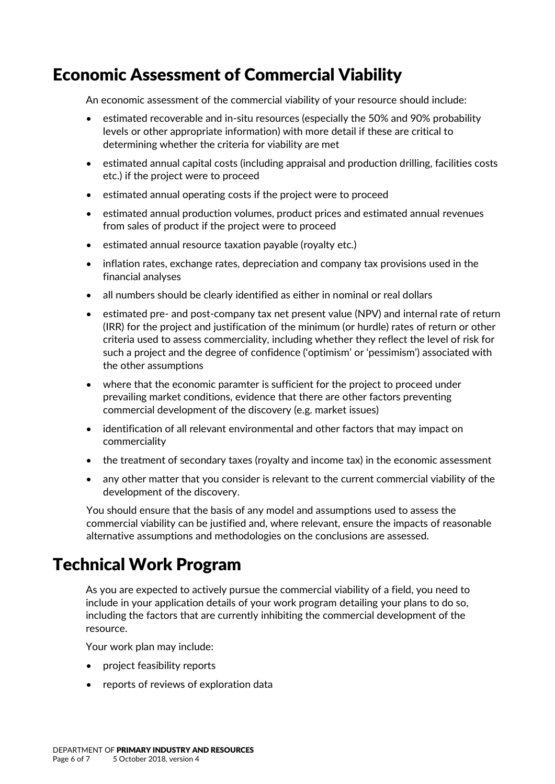# <span id="page-5-0"></span>Economic Assessment of Commercial Viability

An economic assessment of the commercial viability of your resource should include:

- estimated recoverable and in-situ resources (especially the 50% and 90% probability levels or other appropriate information) with more detail if these are critical to determining whether the criteria for viability are met
- estimated annual capital costs (including appraisal and production drilling, facilities costs etc.) if the project were to proceed
- estimated annual operating costs if the project were to proceed
- estimated annual production volumes, product prices and estimated annual revenues from sales of product if the project were to proceed
- estimated annual resource taxation payable (royalty etc.)
- inflation rates, exchange rates, depreciation and company tax provisions used in the financial analyses
- all numbers should be clearly identified as either in nominal or real dollars
- estimated pre- and post-company tax net present value (NPV) and internal rate of return (IRR) for the project and justification of the minimum (or hurdle) rates of return or other criteria used to assess commerciality, including whether they reflect the level of risk for such a project and the degree of confidence ('optimism' or 'pessimism') associated with the other assumptions
- where that the economic paramter is sufficient for the project to proceed under prevailing market conditions, evidence that there are other factors preventing commercial development of the discovery (e.g. market issues)
- identification of all relevant environmental and other factors that may impact on commerciality
- the treatment of secondary taxes (royalty and income tax) in the economic assessment
- any other matter that you consider is relevant to the current commercial viability of the development of the discovery.

You should ensure that the basis of any model and assumptions used to assess the commercial viability can be justified and, where relevant, ensure the impacts of reasonable alternative assumptions and methodologies on the conclusions are assessed.

# <span id="page-5-1"></span>Technical Work Program

As you are expected to actively pursue the commercial viability of a field, you need to include in your application details of your work program detailing your plans to do so, including the factors that are currently inhibiting the commercial development of the resource.

Your work plan may include:

- project feasibility reports
- reports of reviews of exploration data